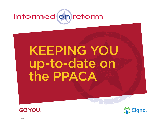

# keeping you up-to-date on the PPACA





838154 c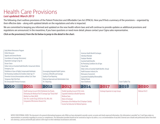# <span id="page-1-0"></span>Health Care Provisions *Last updated: March 2013*

The following chart outlines provisions of the Patient Protection and Affordable Care Act (PPACA). Here you'll find a summary of the provisions – organized by their effective date – along with updated details on the regulations and who is impacted.

We are committed to keeping you informed and updated on the new health reform laws and will continue to provide updates as additional provisions and regulations are announced. In the meantime, if you have questions or need more detail, please contact your Cigna sales representative.

*Click on the provision(s) from the list below to jump to the detail in the chart.*

| Early Retiree Reinsurance Program<br>Online Resources<br>Appeals and External Review<br>Cancellation of Coverage (Rescissions)<br>Dependent Coverage to Age 26<br>Doctor Choice<br>Dollar Limits on Essential Health Benefits: Annual and Lifetime<br><b>Emergency Care</b><br>Prohibition in Favor of Highly Compensated Individuals<br>No Preexisting Conditions for Enrollees Under Age 19<br>Preventive Services/Immunizations without Cost-Share<br>Temporary High-Risk Pools |                                                                                                                                                                                | Encouraging Integrated Health Systems<br>Summary of Benefits and Coverage<br>Quality of Care Reporting<br>Reducing Paperwork and Administrative Costs |                                                                                                                                                                                    | <b>Individual Mandate</b><br><b>Employer Mandate</b><br><b>Essential Health Benefits</b><br>Clinical Trials<br>Reinsurance Assessment<br><b>Waiting Periods</b> | American Health Benefit Exchanges<br>No Preexisting Conditions for all Ages<br>Dollar Limits on Essential Health Benefits: Annual<br>Health Insurance Industry Fee<br>Guaranteed Availability/Renewability |      |                 |  |
|------------------------------------------------------------------------------------------------------------------------------------------------------------------------------------------------------------------------------------------------------------------------------------------------------------------------------------------------------------------------------------------------------------------------------------------------------------------------------------|--------------------------------------------------------------------------------------------------------------------------------------------------------------------------------|-------------------------------------------------------------------------------------------------------------------------------------------------------|------------------------------------------------------------------------------------------------------------------------------------------------------------------------------------|-----------------------------------------------------------------------------------------------------------------------------------------------------------------|------------------------------------------------------------------------------------------------------------------------------------------------------------------------------------------------------------|------|-----------------|--|
| No Unreasonable Premium Increases                                                                                                                                                                                                                                                                                                                                                                                                                                                  |                                                                                                                                                                                | W-2 Reporting                                                                                                                                         |                                                                                                                                                                                    | Auto-Enrollment                                                                                                                                                 | Excise "Cadillac"Tax                                                                                                                                                                                       |      |                 |  |
| 2010                                                                                                                                                                                                                                                                                                                                                                                                                                                                               | 2011                                                                                                                                                                           | 2012                                                                                                                                                  | 2013                                                                                                                                                                               | 2014                                                                                                                                                            | 2017                                                                                                                                                                                                       | 2018 | 2020            |  |
|                                                                                                                                                                                                                                                                                                                                                                                                                                                                                    | Health Savings Account (HSA) Distribution Tax Penalty<br>Medical Loss Ratio (MLR)<br>Over-the-counter Drugs (OTCD) for FSA, HRA, HSA<br>Comparative Effectiveness Research Fee | Eliminating the Medicare Part D Coverage Gap/"Donut Hole"                                                                                             | Flexible Spending Account (FSA) Limits<br><b>Expanded Authority to Bundle Payments</b><br><b>Medicare Taxes</b><br>Notice of Exchange<br>Income Tax Deduction for Medical Expenses | Elimination of the Medicare Part D Employer Subsidy                                                                                                             | <b>Exchange Expansion to Large Groups</b>                                                                                                                                                                  |      | Medicare Part D |  |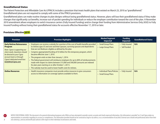#### <span id="page-2-0"></span>Grandfathered Status

The Patient Protection and Affordable Care Act (PPACA) includes a provision that treats health plans that existed on March 23, 2010 as "grandfathered." Grandfathered plans are not required to comply with some of the PPACA provisions.

Grandfathered plans can make routine changes to plan designs without losing grandfathered status. However, plans will lose their grandfathered status if they make changes that significantly cut benefits, increase out-of-pocket spending for individuals or reduce the employer contribution toward the cost of the plan. A November 2010 amendment allows employers to switch insurance carriers (Fully Insured Funding) and/or change their funding from Administrative Services Only (ASO) to Fully Insured Funding without losing their grandfathered status for accounts effective November 17, 2010 or later.

#### Provisions Effective 2010

| <b>Provision</b>                                                                                                                                                                                                             | <b>Provision Highlights</b>                                                                                                                                                                                                                                                                                                                                                                                                                                                                                                                                                                                                                                                                                    | <b>Market/Segment</b><br><b>Impacted</b>           | <b>Funding</b><br><b>Impacted</b> | <b>Grandfathered Status</b> |
|------------------------------------------------------------------------------------------------------------------------------------------------------------------------------------------------------------------------------|----------------------------------------------------------------------------------------------------------------------------------------------------------------------------------------------------------------------------------------------------------------------------------------------------------------------------------------------------------------------------------------------------------------------------------------------------------------------------------------------------------------------------------------------------------------------------------------------------------------------------------------------------------------------------------------------------------------|----------------------------------------------------|-----------------------------------|-----------------------------|
| <b>Early Retiree Reinsurance</b><br>Program<br>Note: Cigna is supporting our<br>client needs. Questions should<br>be directed to your Cigna<br>account team or through<br>Cigna's dedicated email box:<br>EarlyRet@Cigna.com | Employers can receive a subsidy for a portion of the cost of health benefits provided<br>to retirees ages 55 and over and their spouses, surviving spouses and dependents<br>that are not Medicare-eligible as defined by the plan.<br>Congress appropriated funding of \$5 billion for this temporary program, which<br>became effective June 1, 2010.<br>• The program ends no later than January 1, 2014.<br>• The federal government will reimburse employers for up to 80% of reimbursements<br>made with respect to claims between \$15,000 and \$90,000 (amounts are indexed<br>for plan years starting on or after October 1, 2011).<br>• The subsidy must be used to lower health costs for retirees. | <b>Small Group Plans</b><br>• Large Group Plans    | • Fully Insured<br>• Self-funded  | N/A                         |
| <b>Online Resources</b>                                                                                                                                                                                                      | • Health insurance companies must provide online resources to give consumers<br>access to information on coverage options available to them.                                                                                                                                                                                                                                                                                                                                                                                                                                                                                                                                                                   | • Individual Plans/Policies<br>• Small Group Plans | <b>Fully Insured</b>              | N/A                         |

NOTICE FOR EXTERNAL USERS: This document is for general informational purposes only. While we have attempted to provide current, accurate and clearly expressed information, this information is provided "as is" and Cigna ma representations or warranties regarding its accuracy or completeness. The information provided should not be construed as legal or tax advice, or as a recommendation of any kind. External users should seek professional adv own attorneys, and tax and benefit plan advisers with respect to their individual circumstances and needs.

**k**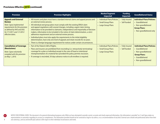3

<span id="page-3-0"></span>

| <b>Provision</b>                                                                                                                                                                         | <b>Provision Highlights</b>                                                                                                                                                                                                                                                                                                                                                                                                                                                                                                                                                                                                                                                                                                                                                      | <b>Market/Segment</b><br><b>Impacted</b>                                  | <b>Funding</b><br><b>Impacted</b>     | <b>Grandfathered Status</b>                                                                                                                  |
|------------------------------------------------------------------------------------------------------------------------------------------------------------------------------------------|----------------------------------------------------------------------------------------------------------------------------------------------------------------------------------------------------------------------------------------------------------------------------------------------------------------------------------------------------------------------------------------------------------------------------------------------------------------------------------------------------------------------------------------------------------------------------------------------------------------------------------------------------------------------------------------------------------------------------------------------------------------------------------|---------------------------------------------------------------------------|---------------------------------------|----------------------------------------------------------------------------------------------------------------------------------------------|
| <b>Appeals and External</b><br><b>Review</b><br>Note: Cigna implemented<br>requirements for this provision<br>as defined by HHS and DOL<br>for 7/1/2011 and 1/1/2012<br>effective dates. | • All insurers and plans must have a standard internal claims and appeal process and<br>an external review process.<br>• All individual and group plans must comply with the existing ERISA claim<br>and appeal regulations with several changes, including: urgent claim timing,<br>information to be provided to claimants, independence and impartiality of decision<br>makers, information to be included in the notice of claim determination, a strict<br>adherence requirement and an external review process.<br>• Individual plans must also apply the requirements to the initial eligibility<br>determination, have only one level of appeals and retain records for six years.<br>• There is a foreign language requirement for notices under certain circumstances. | · Individual Plans/Policies<br>• Small Group Plans<br>• Large Group Plans | <b>Fully Insured</b><br>• Self-funded | <b>Individual Plans/Policies:</b><br>• Grandfathered<br>• Non-grandfathered<br><b>Group Plans:</b><br>• Non-grandfathered only               |
| <b>Cancellation of Coverage</b><br>(Rescissions)<br>Note: Cigna voluntarily<br>complied with this provision<br>on May 1, 2010.                                                           | • Part of the Patient's Bill of Rights.<br>• Plans and insurers are prohibited from rescinding (i.e. retroactively terminating)<br>coverage for a plan or individual except in the case of fraud or intentional<br>misrepresentation of a material fact provided the policy permits rescission.<br>• If coverage is rescinded, 30 days advance notice to all enrollees is required.                                                                                                                                                                                                                                                                                                                                                                                              | • Individual Plans/Policies<br>• Small Group Plans<br>• Large Group Plans | <b>Fully Insured</b><br>• Self-funded | <b>Individual Plans/Policies:</b><br>• Grandfathered<br>• Non-grandfathered<br><b>Group Plans:</b><br>• Grandfathered<br>• Non-grandfathered |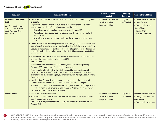<span id="page-4-0"></span>

| <b>Provision</b>                                                                                                                                   | <b>Provision Highlights</b>                                                                                                                                                                                                                                                                                                                                                                                                                                                                                                                                                                                                                                                                                                                                                                                                                                                                                                                                                                                                                                                                                                                                                                                                                                                                                                                                                                                                                                                                                                                                                                                                                                                                                                                                                                                                                                                             | <b>Market/Segment</b><br><b>Impacted</b>                                  | <b>Funding</b><br><b>Impacted</b>     | <b>Grandfathered Status</b>                                                                                                                  |
|----------------------------------------------------------------------------------------------------------------------------------------------------|-----------------------------------------------------------------------------------------------------------------------------------------------------------------------------------------------------------------------------------------------------------------------------------------------------------------------------------------------------------------------------------------------------------------------------------------------------------------------------------------------------------------------------------------------------------------------------------------------------------------------------------------------------------------------------------------------------------------------------------------------------------------------------------------------------------------------------------------------------------------------------------------------------------------------------------------------------------------------------------------------------------------------------------------------------------------------------------------------------------------------------------------------------------------------------------------------------------------------------------------------------------------------------------------------------------------------------------------------------------------------------------------------------------------------------------------------------------------------------------------------------------------------------------------------------------------------------------------------------------------------------------------------------------------------------------------------------------------------------------------------------------------------------------------------------------------------------------------------------------------------------------------|---------------------------------------------------------------------------|---------------------------------------|----------------------------------------------------------------------------------------------------------------------------------------------|
| <b>Dependent Coverage to</b><br><b>Age 26</b><br>Note: Cigna implemented<br>an extension of coverage to<br>enrolled dependents on<br>June 1, 2010. | • Health plans and policies that cover dependents are required to cover young adults<br>to age 26.<br>Dependents under the age of 26 must be covered regardless of marital status,<br>student status, residency, financial status, etc., and include:<br>- Dependents currently enrolled on the plan under the age of 26;<br>- Dependents that were previously terminated from the plan and are under the<br>age of 26; and<br>- Dependents that have never been enrolled on the plan and are under the age<br>of 26.<br>• Grandfathered plans are not required to extend coverage to dependents who have<br>access to another employer-sponsored plan other than that of a parent, until 2014.<br>• Spouses of dependents and children of dependents (employees' grandchildren) are<br>not eligible unless the plan already covers these individuals under their definition<br>of dependent.<br>• A one-time 30-day special enrollment period for dependents is required for the first<br>plan year starting on or after September 23, 2010.<br><b>Additional Notes:</b><br>• Funds from Health Reimbursement Accounts (HRAs) and Flexible Spending<br>Accounts (FSAs) may be used for dependents to age 26.<br>Plans may also offer retroactive FSA reimbursement for expenses incurred by a<br>dependent to age 26 - as far back as March 30, 2010. The IRS Ruling (2010-38)<br>allows for this exception as long as you amended your cafeteria plan documents by<br>December 31, 2010.*<br>• Health Savings Account (HSA) funds may not be used to pay the expenses of<br>covered dependents who are not claimed as dependents for tax purposes.<br>* Under certain circumstances, extending FSA coverage to dependents up to age 26 may<br>be optional. Please speak to your own legal counsel to determine if your FSA plan is<br>required to provide this extension of coverage. | • Individual Plans/Policies<br>• Small Group Plans<br>• Large Group Plans | • Fully Insured<br>· Self-funded      | <b>Individual Plans/Policies:</b><br>• Grandfathered<br>• Non-grandfathered<br><b>Group Plans:</b><br>• Grandfathered<br>• Non-grandfathered |
| <b>Doctor Choice</b>                                                                                                                               | • Part of the Patient's Bill of Rights.<br>• Enrollees must be allowed to select the primary care physician (PCP), including a<br>pediatrician, of their choice.<br>Enrollees must be permitted to access an OB/GYN for services without a referral<br>from the PCP.                                                                                                                                                                                                                                                                                                                                                                                                                                                                                                                                                                                                                                                                                                                                                                                                                                                                                                                                                                                                                                                                                                                                                                                                                                                                                                                                                                                                                                                                                                                                                                                                                    | • Individual Plans/Policies<br>• Small Group Plans<br>• Large Group Plans | <b>Fully Insured</b><br>· Self-funded | <b>Individual Plans/Policies:</b><br>• Non-grandfathered only<br><b>Group Plans:</b><br>• Non-grandfathered only                             |

B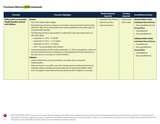<span id="page-5-0"></span>

| <b>Provision</b>                                                                    | <b>Provision Highlights</b>                                                                                                                                                                                                                                                                                                                                                                                                                                                                                                                                                                                                                                                                                                                                                                                                                                                                                                                                                                                                                                                                                                                                                   | <b>Market/Segment</b><br><b>Impacted</b>                                  | <b>Funding</b><br><b>Impacted</b>     | <b>Grandfathered Status</b>                                                                                                                                                                                                                                                                                                                    |
|-------------------------------------------------------------------------------------|-------------------------------------------------------------------------------------------------------------------------------------------------------------------------------------------------------------------------------------------------------------------------------------------------------------------------------------------------------------------------------------------------------------------------------------------------------------------------------------------------------------------------------------------------------------------------------------------------------------------------------------------------------------------------------------------------------------------------------------------------------------------------------------------------------------------------------------------------------------------------------------------------------------------------------------------------------------------------------------------------------------------------------------------------------------------------------------------------------------------------------------------------------------------------------|---------------------------------------------------------------------------|---------------------------------------|------------------------------------------------------------------------------------------------------------------------------------------------------------------------------------------------------------------------------------------------------------------------------------------------------------------------------------------------|
| <b>Dollar Limits on Essential</b><br><b>Health Benefits: Annual</b><br>and Lifetime | <b>Annual</b><br>• Part of the Patient's Bill of Rights.<br>Restricted annual limits are allowed on the dollar value of essential health benefits<br>until 2014. After 2014, annual dollar limits will be prohibited on the dollar value of<br>essential health benefits.<br>• The following minimum annual limits are allowed for plan years beginning on or<br>after these dates:<br>- September 23, 2010 - \$750,000<br>- September 23, 2011 - \$1.25 million<br>- September 23, 2012 - \$2 million<br>- 2014 - No annual dollar limits allowed<br>Limited benefit plans in effect before September 23, 2010, may apply for a waiver of<br>the annual limits provision if compliance would significantly increase premiums or<br>decrease access to coverage for current enrollees.<br><b>Lifetime</b><br>• Lifetime dollar limits are not permitted on the dollar value of essential<br>health benefits.<br>Plans and insurers must offer a one-time, 30-day special enrollment period to any<br>individual whose coverage previously ended due to reaching the lifetime dollar<br>limit. This applies if that individual would otherwise still be eligible for coverage. | • Individual Plans/Policies<br>• Small Group Plans<br>• Large Group Plans | <b>Fully Insured</b><br>• Self-funded | <b>Annual Dollar Limits</b><br><b>Individual Plans/Policies:</b><br>• Non-grandfathered only<br><b>Group Plans:</b><br>• Grandfathered<br>• Non-grandfathered<br><b>Lifetime Dollar Limits</b><br><b>Individual Plans/Policies:</b><br>• Grandfathered<br>• Non-grandfathered<br><b>Group Plans:</b><br>• Grandfathered<br>• Non-grandfathered |

NOTICE FOR EXTERNAL USERS: This document is for general informational purposes only. While we have attempted to provide current, accurate and clearly expressed information, this information is provided "as is" and Cigna ma representations or warranties regarding its accuracy or completeness. The information provided should not be construed as legal or tax advice, or as a recommendation of any kind. External users should seek professional adv own attorneys, and tax and benefit plan advisers with respect to their individual circumstances and needs.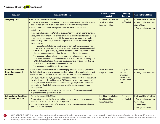<span id="page-6-0"></span>

| <b>Provision</b>                                                                  | <b>Provision Highlights</b>                                                                                                                                                                                                                                                                                                                                                                                                                                                                                                                                                                                                                                                                                                                                                                                                                                                                                                                                                                                                                                                                                                                                                                                                                                                                                                                                                   | <b>Market/Segment</b><br><b>Impacted</b>                                  | <b>Funding</b><br><b>Impacted</b>                                                          | <b>Grandfathered Status</b>                                                                                                    |
|-----------------------------------------------------------------------------------|-------------------------------------------------------------------------------------------------------------------------------------------------------------------------------------------------------------------------------------------------------------------------------------------------------------------------------------------------------------------------------------------------------------------------------------------------------------------------------------------------------------------------------------------------------------------------------------------------------------------------------------------------------------------------------------------------------------------------------------------------------------------------------------------------------------------------------------------------------------------------------------------------------------------------------------------------------------------------------------------------------------------------------------------------------------------------------------------------------------------------------------------------------------------------------------------------------------------------------------------------------------------------------------------------------------------------------------------------------------------------------|---------------------------------------------------------------------------|--------------------------------------------------------------------------------------------|--------------------------------------------------------------------------------------------------------------------------------|
| <b>Emergency Care</b>                                                             | • Part of the Patient's Bill of Rights.<br>• Coverage of emergency services in an emergency room generally must be provided<br>at the in-network level if care is received from an out-of-network provider.<br>Prior authorization cannot be required even if the services are provided<br>out-of-network.<br>• Plans must adopt a standard "prudent layperson" definition of emergency services.<br>• Copays and coinsurance for out-of-network services cannot exceed the cost-sharing<br>requirements that would be imposed if the services were provided in-network;<br>providers may balance bill, but only after a plan or issuer pays an amount equal to<br>the greatest of:<br>- The amount negotiated with in-network providers for the emergency service<br>furnished [this option is eliminated if there is no per-service amount negotiated<br>with in-network providers (e.g., under a capitation agreement)]. If there is more<br>than one amount negotiated, then the payment is the median amount;<br>- The amount calculated using the same method the plan generally uses to<br>determine payment for out-of-network services [e.g., Usual and Customary Rate<br>(UCR)], but applies to in-network cost-sharing provision (without reduction for<br>out-of-network cost-sharing that generally applies); or<br>- The amount that would be paid by Medicare. | • Individual Plans/Policies<br>• Small Group Plans<br>• Large Group Plans | • Fully Insured<br>· Self-funded                                                           | <b>Individual Plans/Policies:</b><br>• Non-grandfathered only<br><b>Group Plans:</b><br>• Non-grandfathered only               |
| <b>Prohibition in Favor of</b><br><b>Highly Compensated</b><br><b>Individuals</b> | Insured plans cannot discriminate in favor of highly compensated employees unless<br>the distinction is based on a reasonable job classification such as hourly, salaried and<br>geographic location. Previously, this prohibition applied only to self-funded plans.<br>• Employers may be fined \$100 per day per violation. (While not yet clear, penalty will<br>likely be determined by multiplying the \$100 per-day penalty by the number of<br>employees denied participation in the discriminatory plan.) However, unlike the<br>penalty for self-funded plans, the coverage is not included as taxable income<br>for employees.<br>• The Department of Treasury has delayed enforcement of this requirement until<br>regulations or other guidance is issued.                                                                                                                                                                                                                                                                                                                                                                                                                                                                                                                                                                                                       | • Small Group Plans<br>• Large Group Plans                                | • Fully Insured<br>A similar<br>prohibition<br>already exists<br>for self-funded<br>plans. | <b>Group Plans:</b><br>• Non-grandfathered only                                                                                |
| <b>No Preexisting Conditions</b><br>for Enrollees Under 19                        | • Part of the Patient's Bill of Rights.<br>• A preexisting condition limitation cannot be applied to any enrollee (employee,<br>spouse or dependent) who is under the age of 19.<br>• For plan years beginning on or after January 1, 2014, this requirement applies to all<br>enrollees, regardless of age.                                                                                                                                                                                                                                                                                                                                                                                                                                                                                                                                                                                                                                                                                                                                                                                                                                                                                                                                                                                                                                                                  | • Individual Plans/Policies<br>• Small Group Plans<br>• Large Group Plans | <b>Fully Insured</b><br>· Self-funded                                                      | <b>Individual Plans/Policies:</b><br>• Non-grandfathered only<br><b>Group Plans:</b><br>• Grandfathered<br>• Non-grandfathered |

B

6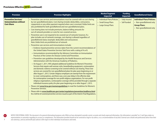<span id="page-7-0"></span>

| <b>Provision</b>                                                                 | <b>Provision Highlights</b>                                                                                                                                                                                                                                                                                                                                                                                                                                                                                                                                                                                                                                                                                                                                                                                                                                                                                                                                                                                                                                                                                                                                                                                                                                                                                                                                                                                                                                                                                                                                                                                                                                                                                                                                                                                                                                                                                                                                                                                                                                                                                                                                                                                                                                                                                                                                   | <b>Market/Segment</b><br><b>Impacted</b>                                  | <b>Funding</b><br><b>Impacted</b>     | <b>Grandfathered Status</b>                                                                                      |
|----------------------------------------------------------------------------------|---------------------------------------------------------------------------------------------------------------------------------------------------------------------------------------------------------------------------------------------------------------------------------------------------------------------------------------------------------------------------------------------------------------------------------------------------------------------------------------------------------------------------------------------------------------------------------------------------------------------------------------------------------------------------------------------------------------------------------------------------------------------------------------------------------------------------------------------------------------------------------------------------------------------------------------------------------------------------------------------------------------------------------------------------------------------------------------------------------------------------------------------------------------------------------------------------------------------------------------------------------------------------------------------------------------------------------------------------------------------------------------------------------------------------------------------------------------------------------------------------------------------------------------------------------------------------------------------------------------------------------------------------------------------------------------------------------------------------------------------------------------------------------------------------------------------------------------------------------------------------------------------------------------------------------------------------------------------------------------------------------------------------------------------------------------------------------------------------------------------------------------------------------------------------------------------------------------------------------------------------------------------------------------------------------------------------------------------------------------|---------------------------------------------------------------------------|---------------------------------------|------------------------------------------------------------------------------------------------------------------|
| <b>Preventive Services/</b><br><b>Immunizations without</b><br><b>Cost-Share</b> | • Preventive care services and immunizations must be covered with no cost sharing<br>by non-grandfathered plans. Cost sharing includes deductibles, coinsurance,<br>copayments or any other payment required when care is received. Dollar limits are<br>also prohibited for both grandfathered and non-grandfathered plans.<br>• Cost sharing does not include premiums, balance billing amounts for<br>out-of-network providers or costs for non-covered services.<br>• Preventive care is not required to be covered out-of-network; however, if a<br>plan includes out-of-network coverage, cost sharing is allowed regardless of<br>grandfathered status (example: deductible and coinsurance).<br>Note: Dollar limits are prohibited out-of-network.<br>• Preventive care services and immunizations include:<br>- Evidence-based preventive services taken from the current recommendations of<br>the United States Preventive Services Task Force with a rating of A or B.<br>- Immunizations recommended by the Advisory Committee on Immunization<br>Practices of the Centers for Disease Control and Prevention.<br>- Preventive care guidelines developed by the Health Resources and Services<br>Administration with the American Academy of Pediatrics.<br>- On August 1, 2011, HHS adopted additional Guidelines for Women's Preventive<br>Services that require well-woman visits, breastfeeding equipment, contraception<br>and domestic violence screening to be covered without cost sharing. These new<br>services are covered for non-grandfathered plans for plan years beginning on or<br>after August 1, 2012. Certain religious employers are exempt from the requirement<br>to cover contraceptives, and there was a one-year delay in the effective date<br>for contraceptive coverage for non-profit religious organizations. For non-profit<br>religious organizations, contraceptive coverage will be provided through a separate<br>individual insurance policy for plan years beginning on or after August 1, 2013.<br>• Please visit www.hrsa.gov/womensquidelines to read the Guidelines for Women's<br><b>Preventive Services.</b><br>• Please refer to www.healthcare.gov/center/regulations/prevention/taskforce.html<br>for a full list of covered preventive services issued as part of the Interim Final Regulations. | • Individual Plans/Policies<br>• Small Group Plans<br>• Large Group Plans | <b>Fully Insured</b><br>• Self-funded | <b>Individual Plans/Policies:</b><br>• Non-grandfathered only<br><b>Group Plans:</b><br>• Non-grandfathered only |

NOTICE FOR EXTERNAL USERS: This document is for general informational purposes only. While we have attempted to provide current, accurate and clearly expressed information, this information is provided "as is" and Cigna ma representations or warranties regarding its accuracy or completeness. The information provided should not be construed as legal or tax advice, or as a recommendation of any kind. External users should seek professional adv own attorneys, and tax and benefit plan advisers with respect to their individual circumstances and needs.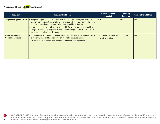8

<span id="page-8-0"></span>

| <b>Provision</b>                                   | <b>Provision Highlights</b>                                                                                                                                                                                                                                                                                                                                                                                                                                               | <b>Market/Segment</b><br><b>Impacted</b>           | <b>Funding</b><br><b>Impacted</b> | <b>Grandfathered Status</b> |
|----------------------------------------------------|---------------------------------------------------------------------------------------------------------------------------------------------------------------------------------------------------------------------------------------------------------------------------------------------------------------------------------------------------------------------------------------------------------------------------------------------------------------------------|----------------------------------------------------|-----------------------------------|-----------------------------|
| <b>Temporary High-Risk Pools</b>                   | Temporary high-risk pools will be established to provide coverage for individuals<br>with preexisting conditions who have been uninsured for at least six months. These<br>pools will be available until state Exchanges are established in 2014.<br>• Insurers and employers will be held responsible for health care expenses paid by<br>a high-risk pool if they engage in actions that encourage individuals to leave their<br>current plan to join a high-risk pool. | N/A                                                | N/A                               | N/A                         |
| <b>No Unreasonable</b><br><b>Premium Increases</b> | • In conjunction with states, the federal government will establish an annual process<br>to review "unreasonable increases" in premiums for health coverage.<br>• Issuers of health insurance coverage will be impacted by this provision.                                                                                                                                                                                                                                | • Individual Plans/Policies<br>• Small Group Plans | <b>Fully Insured</b>              | N/A                         |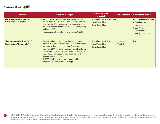<span id="page-9-0"></span>

| <b>Provision</b>                                                           | <b>Provision Highlights</b>                                                                                                                                                                                                                                                                                                                                                                                                                                                    | <b>Market/Segment</b><br><b>Impacted</b>                                  | <b>Funding Impacted</b>               | <b>Grandfathered Status</b>                                                                                                                  |
|----------------------------------------------------------------------------|--------------------------------------------------------------------------------------------------------------------------------------------------------------------------------------------------------------------------------------------------------------------------------------------------------------------------------------------------------------------------------------------------------------------------------------------------------------------------------|---------------------------------------------------------------------------|---------------------------------------|----------------------------------------------------------------------------------------------------------------------------------------------|
| <b>Health Savings Account (HSA)</b><br><b>Distribution Tax Penalty</b>     | • If an individual uses HSA funds for expenses that do<br>not satisfy the federal tax definition of eligible medical<br>expenses, the IRS may impose a 20% tax penalty on the<br>disbursed amount. (Prior to January 1, 2011, this penalty<br>had been 10%.)<br>• This requirement was effective as of January 1, 2011.                                                                                                                                                        | • Individual Plans/Policies<br>• Small Group Plans<br>• Large Group Plans | N/A                                   | <b>Individual Plans/Policies:</b><br>• Grandfathered<br>• Non-grandfathered<br><b>Group Plans:</b><br>• Grandfathered<br>• Non-grandfathered |
| <b>Eliminating the Medicare Part D</b><br><b>Coverage Gap/"Donut Hole"</b> | • The law gradually closes the gap between now and<br>2020. In 2010, enrollees received a \$250 rebate from the<br>government if they entered the Part D coverage gap.<br>Starting in 2011, there is progressively lower beneficiary<br>coinsurance for generic drugs and coverage for brand-<br>name drugs (with discounts from pharmaceutical<br>manufacturers) in the gap.<br>By 2020, Part D beneficiaries' coinsurance will be<br>approximately 25% of the cost of drugs. | • Individual Plans/Policies<br>• Small Group Plans<br>• Large Group Plans | <b>Fully Insured</b><br>• Self-funded | N/A                                                                                                                                          |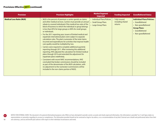<span id="page-10-0"></span>

| <b>Provision</b>                | <b>Provision Highlights</b>                                                                                                                                                                                                                                                                                                                                                                                                                                                                                                                                                                                                                                                                                                                                                                                                                                                                                                                                                                                                                                                                                                                                                                                | <b>Market/Segment</b><br><b>Impacted</b>                                  | <b>Funding Impacted</b>                       | <b>Grandfathered Status</b>                                                                                                                  |
|---------------------------------|------------------------------------------------------------------------------------------------------------------------------------------------------------------------------------------------------------------------------------------------------------------------------------------------------------------------------------------------------------------------------------------------------------------------------------------------------------------------------------------------------------------------------------------------------------------------------------------------------------------------------------------------------------------------------------------------------------------------------------------------------------------------------------------------------------------------------------------------------------------------------------------------------------------------------------------------------------------------------------------------------------------------------------------------------------------------------------------------------------------------------------------------------------------------------------------------------------|---------------------------------------------------------------------------|-----------------------------------------------|----------------------------------------------------------------------------------------------------------------------------------------------|
| <b>Medical Loss Ratio (MLR)</b> | • MLR is the percent of premium a carrier spends on claims<br>and other medical services. Carriers must provide an annual<br>rebate to covered individuals if the medical loss ratio of the<br>block of business to which the individual or group belongs<br>is less than 85% for large groups or 80% for small groups<br>or individuals.<br>• For the 2011 reporting year, issuers of limited medical and<br>expatriate international plans were subject to separate<br>calculation rules. The plan's numerator of the total claims<br>incurred and expenditures for activities that improve health<br>care quality would be multiplied by two.<br>Carriers were required to complete additional quarterly<br>reporting through 2011. After reviewing this additional<br>reporting, HHS adjusted the calculation for limited medical<br>plans through 2014 and extended the adjustment for<br>expatriate plans indefinitely.<br>Consistent with recent NAIC recommendations, HHS<br>concluded that broker commissions should be included<br>as part of the denominator of the MLR calculation, with<br>no adjustment to the numerator (commissions will be<br>included in the non-claims portion of MLR). | • Individual Plans/Policies<br>• Small Group Plans<br>• Large Group Plans | Fully Insured,<br>including shared<br>returns | <b>Individual Plans/Policies:</b><br>• Grandfathered<br>• Non-grandfathered<br><b>Group Plans:</b><br>• Grandfathered<br>• Non-grandfathered |

NOTICE FOR EXTERNAL USERS: This document is for general informational purposes only. While we have attempted to provide current, accurate and clearly expressed information, this information is provided "as is" and Cigna ma representations or warranties regarding its accuracy or completeness. The information provided should not be construed as legal or tax advice, or as a recommendation of any kind. External users should seek professional adv own attorneys, and tax and benefit plan advisers with respect to their individual circumstances and needs.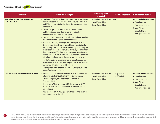<span id="page-11-0"></span>

| <b>Provision</b>                                                | <b>Provision Highlights</b>                                                                                                                                                                                                                                                                                                                                                                                                                                                                                                                                                                                                                                                                                                                                                                                                                                                                                                                                                                                                                                                                                                                                                                | <b>Market/Segment</b><br><b>Impacted</b>                                  | <b>Funding Impacted</b>          | <b>Grandfathered Status</b>                                                                                                                  |
|-----------------------------------------------------------------|--------------------------------------------------------------------------------------------------------------------------------------------------------------------------------------------------------------------------------------------------------------------------------------------------------------------------------------------------------------------------------------------------------------------------------------------------------------------------------------------------------------------------------------------------------------------------------------------------------------------------------------------------------------------------------------------------------------------------------------------------------------------------------------------------------------------------------------------------------------------------------------------------------------------------------------------------------------------------------------------------------------------------------------------------------------------------------------------------------------------------------------------------------------------------------------------|---------------------------------------------------------------------------|----------------------------------|----------------------------------------------------------------------------------------------------------------------------------------------|
| <b>Over-the-counter (OTC) Drugs for</b><br><b>FSA, HRA, HSA</b> | Purchases of most OTC drugs and medicines can no longer<br>be reimbursed from health spending accounts (HRA, HSA<br>and FSA) unless the individual has a doctor's prescription<br>for the drug.<br>Certain OTC products such as contact lens solutions<br>and first aid supplies will continue to be eligible for<br>reimbursement without a prescription.<br>Prescription drugs (non-OTC), insulin and diabetic supplies<br>will continue to be eligible for reimbursement.<br>FSA debit cards may no longer be used to purchase OTC<br>drugs or medicines. If an individual has a prescription for<br>an OTC drug, the cost can be reimbursed by submitting the<br>prescription and receipt manually. However, if a pharmacy<br>does process the OTC drug as a prescription (meeting the<br>criteria defined in IRS NOTICE 2011-05), the FSA Debit Card<br>will allow the charge to go through as an eligible item.<br>For HSAs, copies of prescriptions and receipts should be<br>maintained for federal income tax purposes in the event of<br>an Internal Revenue Service (IRS) audit.<br>• This requirement is effective for any OTC drugs purchased<br>on or after January 1, 2011. | • Individual Plans/Policies<br>• Small Group Plans<br>• Large Group Plans | N/A                              | <b>Individual Plans/Policies:</b><br>• Grandfathered<br>• Non-grandfathered<br><b>Group Plans:</b><br>• Grandfathered<br>• Non-grandfathered |
| <b>Comparative Effectiveness Research Fee</b>                   | Revenue from this fee will fund research to determine the<br>effectiveness of various forms of medical treatment.<br>Effective for plan years that began on and after<br>October 2, 2011.<br>Annual fee is \$1.00 per covered life, increasing to \$2.00<br>in 2013, then to an amount indexed to national health<br>expenditures.<br>Phases out by 2019. Only applies with respect to covered<br>persons residing in the US.                                                                                                                                                                                                                                                                                                                                                                                                                                                                                                                                                                                                                                                                                                                                                              | • Individual Plans/Policies<br>• Small Group Plans<br>• Large Group Plans | • Fully Insured<br>• Self-funded | <b>Individual Plans/Policies:</b><br>• Grandfathered<br>• Non-grandfathered<br><b>Group Plans:</b><br>• Grandfathered<br>• Non-grandfathered |

NOTICE FOR EXTERNAL USERS: This document is for general informational purposes only. While we have attempted to provide current, accurate and clearly expressed information, this information is provided "as is" and Cigna ma representations or warranties regarding its accuracy or completeness. The information provided should not be construed as legal or tax advice, or as a recommendation of any kind. External users should seek professional adv own attorneys, and tax and benefit plan advisers with respect to their individual circumstances and needs.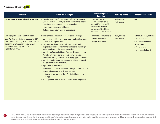<span id="page-12-0"></span>

| <b>Provision</b>                                                                                                                                                                                                                                      | <b>Provision Highlights</b>                                                                                                                                                                                                                                                                                                                                                                                                                                                                                                                                                                                                                                                                                                                                                                                                                                                | <b>Market/Segment</b><br>Impacted                                                                                                                                              | <b>Funding Impacted</b>          | <b>Grandfathered Status</b>                                                                                                                  |
|-------------------------------------------------------------------------------------------------------------------------------------------------------------------------------------------------------------------------------------------------------|----------------------------------------------------------------------------------------------------------------------------------------------------------------------------------------------------------------------------------------------------------------------------------------------------------------------------------------------------------------------------------------------------------------------------------------------------------------------------------------------------------------------------------------------------------------------------------------------------------------------------------------------------------------------------------------------------------------------------------------------------------------------------------------------------------------------------------------------------------------------------|--------------------------------------------------------------------------------------------------------------------------------------------------------------------------------|----------------------------------|----------------------------------------------------------------------------------------------------------------------------------------------|
| <b>Encouraging Integrated Health Systems</b>                                                                                                                                                                                                          | • Provides incentives for physicians to form "Accountable<br>Care Organizations (ACOs)" to allow physicians to better<br>coordinate patient care and improve quality.<br>Helps prevent disease and illness.<br>• Reduces unnecessary hospital admissions.                                                                                                                                                                                                                                                                                                                                                                                                                                                                                                                                                                                                                  | Incentives paid by<br><b>Centers for Medicare &amp;</b><br><b>Medicaid Services (CMS)</b><br>for Medicare patients,<br>but many ACOs will also<br>contract for other patients. | • Fully Insured<br>• Self-funded | N/A                                                                                                                                          |
| <b>Summary of Benefits and Coverage</b><br>Note: The final regulations regarding the SBC<br>were issued on February 9, 2012. The provision<br>is effective for plan/policy years and open<br>enrollments beginning on or after<br>September 23, 2012. | Requires that the summary of benefits and coverage:<br>• Must not exceed four two-sided pages and not have print<br>smaller than 12-point font.<br>• Has language that is presented in a culturally and<br>linguistically appropriate manner and uses terminology<br>understandable by the average enrollee.<br>Includes uniform definitions of standard insurance terms.<br>Provides estimated customer costs for two medical<br>scenarios - having a baby and managing type 2 diabetes.<br>• Includes a website and phone number where individuals<br>can get additional information.<br>• Is provided at these times:<br>- When an individual enrolls in coverage for the first time.<br>- At the beginning of each new plan year.<br>- Within seven business days if an individual requests<br>a copy.<br>• \$1,000 per enrollee penalty for "willful" non-compliance. | • Individual Plans/Policies<br>• Small Group Plans<br>• Large Group Plans                                                                                                      | • Fully Insured<br>• Self-funded | <b>Individual Plans/Policies:</b><br>• Grandfathered<br>• Non-grandfathered<br><b>Group Plans:</b><br>• Grandfathered<br>• Non-grandfathered |

NOTICE FOR EXTERNAL USERS: This document is for general informational purposes only. While we have attempted to provide current, accurate and clearly expressed information, this information is provided "as is" and Cigna ma representations or warranties regarding its accuracy or completeness. The information provided should not be construed as legal or tax advice, or as a recommendation of any kind. External users should seek professional adv own attorneys, and tax and benefit plan advisers with respect to their individual circumstances and needs.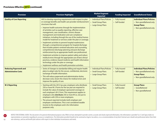<span id="page-13-0"></span>

| <b>Provision</b>                                             | <b>Provision Highlights</b>                                                                                                                                                                                                                                                                                                                                                                                                                                                                                                                                                                                                                                                                                                                                                                                                                                                                                                                                                                                                                                                                       | <b>Market/Segment</b><br><b>Impacted</b>                                  | <b>Funding Impacted</b>               | <b>Grandfathered Status</b>                                                                                      |
|--------------------------------------------------------------|---------------------------------------------------------------------------------------------------------------------------------------------------------------------------------------------------------------------------------------------------------------------------------------------------------------------------------------------------------------------------------------------------------------------------------------------------------------------------------------------------------------------------------------------------------------------------------------------------------------------------------------------------------------------------------------------------------------------------------------------------------------------------------------------------------------------------------------------------------------------------------------------------------------------------------------------------------------------------------------------------------------------------------------------------------------------------------------------------|---------------------------------------------------------------------------|---------------------------------------|------------------------------------------------------------------------------------------------------------------|
| <b>Quality of Care Reporting</b>                             | HHS to develop reporting requirements with respect to plan<br>or coverage benefits and health care provider reimbursement<br>structures that will:<br>Improve health outcomes through the implementation<br>of activities such as quality reporting, effective case<br>management, care coordination, chronic disease<br>management and medication and care compliance<br>initiatives, including through the use of the medical homes<br>model for treatment or services under the plan or coverage.<br>Implement activities to prevent hospital readmissions<br>through a comprehensive program for hospital discharge<br>that includes patient-centered education and counseling,<br>comprehensive discharge planning and post discharge<br>reinforcement by an appropriate health care professional.<br>Implement activities to improve patient safety and reduce<br>medical errors through the appropriate use of best clinical<br>practices, evidence-based medicine and health information<br>technology under the plan or coverage.<br>Implement wellness and health promotion activities. | • Individual Plans/Policies<br>• Small Group Plans<br>• Large Group Plans | <b>Fully Insured</b><br>· Self-funded | <b>Individual Plans/Policies:</b><br>• Non-grandfathered only<br><b>Group Plans:</b><br>• Non-grandfathered only |
| <b>Reducing Paperwork and</b><br><b>Administrative Costs</b> | Series of changes to standardize billing and require health<br>plans to adopt rules for the secure, confidential, electronic<br>exchange of health information.<br>• This will reduce paperwork and administrative duties,<br>decrease costs, lessen the chance for medical errors and<br>improve the quality of care.                                                                                                                                                                                                                                                                                                                                                                                                                                                                                                                                                                                                                                                                                                                                                                            | • Individual Plans/Policies<br>• Small Group Plans<br>• Large Group Plans | • Fully Insured<br>• Self-funded      | <b>Individual Plans/Policies:</b><br>• Non-grandfathered only<br><b>Group Plans:</b><br>• Non-grandfathered only |
| <b>W-2 Reporting</b>                                         | Starting with the 2012 tax year, employers who distribute<br>250 or more W-2 Forms for the tax year are required to<br>include the value of employer-sponsored coverage on<br>each employee's W-2 Form. This requirement applies to<br>employers who distribute 250 or more W-2s, not just to<br>employers with 250 or more employees.<br>The amount reported includes both employer and<br>employee contributions. This is not considered taxable<br>income to the employee and is for information<br>purposes only.                                                                                                                                                                                                                                                                                                                                                                                                                                                                                                                                                                             | • Small Group Plans<br>• Large Group Plans                                | • Fully Insured<br>· Self-funded      | <b>Group Plans:</b><br>• Grandfathered<br>• Non-grandfathered                                                    |

 $\bullet$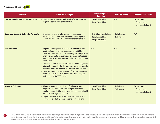# <span id="page-14-0"></span>Provisions Effective 2013

| <b>Provision</b>                              | <b>Provision Highlights</b>                                                                                                                                                                                                                                                                                                                                                                                                                                                                                                                                                                                                                                                         | <b>Market/Segment</b><br><b>Impacted</b>                                  | <b>Funding Impacted</b>          | <b>Grandfathered Status</b>                                   |
|-----------------------------------------------|-------------------------------------------------------------------------------------------------------------------------------------------------------------------------------------------------------------------------------------------------------------------------------------------------------------------------------------------------------------------------------------------------------------------------------------------------------------------------------------------------------------------------------------------------------------------------------------------------------------------------------------------------------------------------------------|---------------------------------------------------------------------------|----------------------------------|---------------------------------------------------------------|
| <b>Flexible Spending Account (FSA) Limits</b> | Contributions to health FSAs limited to \$2,500 a year per<br>employed person indexed for inflation.                                                                                                                                                                                                                                                                                                                                                                                                                                                                                                                                                                                | • Small Group Plans<br>• Large Group Plans                                | N/A                              | <b>Group Plans:</b><br>• Grandfathered<br>• Non-grandfathered |
| <b>Expanded Authority to Bundle Payments</b>  | Establishes a national pilot program to encourage<br>hospitals, doctors and other providers to work together<br>to improve the coordination and quality of patient care.                                                                                                                                                                                                                                                                                                                                                                                                                                                                                                            | • Individual Plans/Policies<br>• Small Group Plans<br>• Large Group Plans | • Fully Insured<br>• Self-funded | N/A                                                           |
| <b>Medicare Taxes</b>                         | Employers are required to withhold an additional 0.9%<br>Medicare tax on employee wages exceeding \$200,000.<br>While the 1.45% income tax withholding is still in place for<br>all employees and employers, the new Medicare tax adds<br>an additional 0.9% on wages and self-employment income<br>above \$200,000.<br>• The additional tax is only assessed on the individual, who is<br>ultimately responsible for the tax. However, employers who<br>do not withhold this additional income tax will be liable.<br>There is an additional Medicare tax of 3.8% on investment<br>income for Adjusted Gross Income (AGI) over \$200,000/<br>individual or \$250,000/joint filers. | N/A                                                                       | N/A                              | N/A                                                           |
| <b>Notice of Exchange</b>                     | All employers are required to notify all employees<br>(regardless of whether the employer provides or the<br>employee is enrolled in health coverage) of the new Health<br>Insurance Exchange marketplace.<br>Employers are expected to distribute the notice in late<br>summer or fall of 2013 based on pending regulations.                                                                                                                                                                                                                                                                                                                                                       | • Small Group Plans<br>• Large Group Plans                                | • Fully Insured<br>• Self-funded | <b>Group Plans:</b><br>• Grandfathered<br>• Non-grandfathered |

B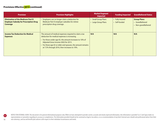<span id="page-15-0"></span>

| <b>Provision</b>                                                                                       | <b>Provision Highlights</b>                                                                                                                                                                                                                                                                                             | <b>Market/Segment</b><br><b>Impacted</b>      | <b>Funding Impacted</b>          | <b>Grandfathered Status</b>                                   |
|--------------------------------------------------------------------------------------------------------|-------------------------------------------------------------------------------------------------------------------------------------------------------------------------------------------------------------------------------------------------------------------------------------------------------------------------|-----------------------------------------------|----------------------------------|---------------------------------------------------------------|
| <b>Elimination of the Medicare Part D</b><br><b>Employer Subsidy for Prescription Drug</b><br>Coverage | Employers can no longer claim a deduction for<br>Medicare Part D employer subsidies for retiree<br>prescription drug coverage.                                                                                                                                                                                          | <b>Small Group Plans</b><br>Large Group Plans | • Fully Insured<br>• Self-funded | <b>Group Plans:</b><br>• Grandfathered<br>• Non-grandfathered |
| <b>Income Tax Deduction for Medical</b><br><b>Expenses</b>                                             | The amount of medical expenses required to claim a tax<br>deduction for medical expenses is increasing.<br>For those under age 65, the amount increases to 10% of<br>Adjusted Gross Income (AGI) for 2013.<br>For those age 65 or older and spouses, the amount remains<br>at 7.5% through 2016, then increases to 10%. | N/A                                           | N/A                              | N/A                                                           |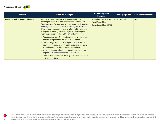<span id="page-16-0"></span>

| <b>Provision</b>                         | <b>Provision Highlights</b>                                                                                                                                                                                                                                                                                                                                                                                                                                                                                                                                                                                                                                                                                                                                                                                                                                                                                                                                 | <b>Market / Segment</b><br><b>Impacted</b>                                       | <b>Funding Impacted</b> | <b>Grandfathered Status</b> |
|------------------------------------------|-------------------------------------------------------------------------------------------------------------------------------------------------------------------------------------------------------------------------------------------------------------------------------------------------------------------------------------------------------------------------------------------------------------------------------------------------------------------------------------------------------------------------------------------------------------------------------------------------------------------------------------------------------------------------------------------------------------------------------------------------------------------------------------------------------------------------------------------------------------------------------------------------------------------------------------------------------------|----------------------------------------------------------------------------------|-------------------------|-----------------------------|
| <b>American Health Benefit Exchanges</b> | By 2014, states are required to operate a health care<br>Exchange(s) that will be a new option for individuals and<br>"small employers" to purchase health insurance or defer to the<br>federal government to establish an Exchange for its citizens.<br>(Prior to plan years beginning on or after 1/1/16, states have<br>the option of defining "small employer" as 1-50. For plan<br>years beginning on or after 1/1/16, it's uniformly 1-100.)<br>Carriers should have flexibility in product, cost sharing and<br>network design to meet the needs of consumers.<br>• The main objective of the Exchanges is to make health<br>insurance coverage more affordable, accessible and easier<br>to purchase for small businesses and individuals.<br>• In 2017, states may allow employers with more than 100<br>employees to purchase coverage on the Exchange.<br>• There are still many critical details yet to be determined by<br>HHS and the states. | • Individual Plans/Policies<br>• Small Group Plans<br>• Large Group Plans (2017) | • Fully Insured         | N/A                         |

NOTICE FOR EXTERNAL USERS: This document is for general informational purposes only. While we have attempted to provide current, accurate and clearly expressed information, this information is provided "as is" and Cigna ma representations or warranties regarding its accuracy or completeness. The information provided should not be construed as legal or tax advice, or as a recommendation of any kind. External users should seek professional adv own attorneys, and tax and benefit plan advisers with respect to their individual circumstances and needs.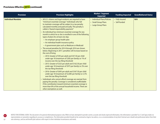<span id="page-17-0"></span>

| <b>Provision</b>          | <b>Provision Highlights</b>                                                                                                                                                                                                                                                                                                                                                                                                                                                                                                                                                                                                                                                                                                                                                                                                                                                                                                                                                                                                                                                                                                                                                                                                                                                                                                                                                                                                                         | <b>Market / Segment</b><br><b>Impacted</b>                                | <b>Funding Impacted</b>          | <b>Grandfathered Status</b> |
|---------------------------|-----------------------------------------------------------------------------------------------------------------------------------------------------------------------------------------------------------------------------------------------------------------------------------------------------------------------------------------------------------------------------------------------------------------------------------------------------------------------------------------------------------------------------------------------------------------------------------------------------------------------------------------------------------------------------------------------------------------------------------------------------------------------------------------------------------------------------------------------------------------------------------------------------------------------------------------------------------------------------------------------------------------------------------------------------------------------------------------------------------------------------------------------------------------------------------------------------------------------------------------------------------------------------------------------------------------------------------------------------------------------------------------------------------------------------------------------------|---------------------------------------------------------------------------|----------------------------------|-----------------------------|
| <b>Individual Mandate</b> | • All U.S. citizens and legal residents are required to have<br>"minimum essential coverage." Individuals who fail<br>to maintain coverage will be subject to a tax penalty<br>calculated monthly and paid annually. This penalty is<br>called a "shared responsibility payment."<br>• An individual has minimum essential coverage for any<br>month in which he or she is enrolled in one of the following<br>types of plans for at least one day:<br>- An employer group health plan<br>- An individual health insurance policy<br>- A government plan such as Medicare or Medicaid<br>• The annual penalties for 2014 through 2016 are shown<br>below. Beginning in 2017, penalties will increase based on<br>the cost of living.<br>- 2014: Greater of \$95 per adult and \$47.50 per child<br>under age 18 (maximum of \$285 per family) or 1% of<br>income over the tax-filing threshold<br>- 2015: Greater of \$325 per adult and \$162.50 per child<br>under age 18 (maximum of \$975 per family) or 2% over<br>the tax-filing threshold<br>- 2016: Greater of \$695 per adult and \$347.50 per child<br>under age 18 (maximum of \$2,085 per family) or 2.5%<br>over the tax-filing threshold<br>• Individuals who cannot afford coverage are exempt from<br>paying the penalty. Coverage is considered unaffordable<br>if the contribution toward minimum essential coverage is<br>more than 8% of the annual household income. There are | • Individual Plans/Policies<br>• Small Group Plans<br>• Large Group Plans | • Fully Insured<br>• Self-funded | N/A                         |
|                           | other exemptions as well.                                                                                                                                                                                                                                                                                                                                                                                                                                                                                                                                                                                                                                                                                                                                                                                                                                                                                                                                                                                                                                                                                                                                                                                                                                                                                                                                                                                                                           |                                                                           |                                  |                             |

NOTICE FOR EXTERNAL USERS: This document is for general informational purposes only. While we have attempted to provide current, accurate and clearly expressed information, this information is provided "as is" and Cigna ma representations or warranties regarding its accuracy or completeness. The information provided should not be construed as legal or tax advice, or as a recommendation of any kind. External users should seek professional adv own attorneys, and tax and benefit plan advisers with respect to their individual circumstances and needs.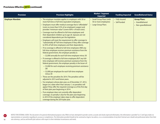<span id="page-18-0"></span>

| <b>Provision</b>        | <b>Provision Highlights</b>                                                                                                                                                                                                                                                                                                                                                                                                                                                                                                                                                                                                                                                                                                                                                                                                                                                                                                                                                                                                                                                                                                                                                                                                                                                                                                                                                                                                                                                                                                                                                                                                                                                                                                                                                 | <b>Market / Segment</b><br><b>Impacted</b>                                | <b>Funding Impacted</b>          | <b>Grandfathered Status</b>                                   |
|-------------------------|-----------------------------------------------------------------------------------------------------------------------------------------------------------------------------------------------------------------------------------------------------------------------------------------------------------------------------------------------------------------------------------------------------------------------------------------------------------------------------------------------------------------------------------------------------------------------------------------------------------------------------------------------------------------------------------------------------------------------------------------------------------------------------------------------------------------------------------------------------------------------------------------------------------------------------------------------------------------------------------------------------------------------------------------------------------------------------------------------------------------------------------------------------------------------------------------------------------------------------------------------------------------------------------------------------------------------------------------------------------------------------------------------------------------------------------------------------------------------------------------------------------------------------------------------------------------------------------------------------------------------------------------------------------------------------------------------------------------------------------------------------------------------------|---------------------------------------------------------------------------|----------------------------------|---------------------------------------------------------------|
| <b>Employer Mandate</b> | • The employer mandate applies to employers with 50 or<br>more full-time or full-time equivalent employees.<br>Employers must offer medical coverage that is "affordable"<br>(costs no more than 9.5% of an employee's wages) and<br>provides "minimum value" (covers 60%+ of total costs).<br>Coverage must be offered to full-time employees and<br>their dependent children up to age 26. Spouses are not<br>considered dependents per the legislation.<br>Employers will meet the requirement to offer coverage to<br>"substantially all" full-time employees if they offer coverage<br>to 95% of full-time employees and their dependents.<br>If no coverage is offered to full-time employees AND any<br>full-time employee receives premium assistance from the<br>federal government, the employer penalty is:<br>- \$2,000 annually for each full-time employee minus 30<br>If coverage is offered to full-time employees BUT any full-<br>time employee still receives premium assistance from the<br>federal government, the employer penalty is the lesser of:<br>- \$3,000 for each employee receiving premium assistance<br><b>OR</b><br>- \$2,000 per employee for each full-time employee<br>minus 30<br>• These are the penalties for 2014. The penalties will be<br>adjusted in 2015 and future years.<br>• For employers whose plan year, as of December 27, 2012,<br>began on a date other than January 1, no penalties will<br>apply if they offer the required coverage as of the first day<br>of their plan year beginning in 2014.<br>If an employer does not currently offer dependent<br>coverage, no penalty is due for the plan year beginning<br>in 2014 if the employer takes steps to offer dependent<br>coverage during the 2014 plan year. | • Small Group Plans (with<br>50 or more employees)<br>• Large Group Plans | • Fully Insured<br>• Self-funded | <b>Group Plans:</b><br>• Grandfathered<br>• Non-grandfathered |

NOTICE FOR EXTERNAL USERS: This document is for general informational purposes only. While we have attempted to provide current, accurate and clearly expressed information, this information is provided "as is" and Cigna ma representations or warranties regarding its accuracy or completeness. The information provided should not be construed as legal or tax advice, or as a recommendation of any kind. External users should seek professional adv own attorneys, and tax and benefit plan advisers with respect to their individual circumstances and needs.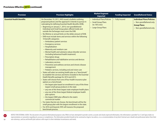<span id="page-19-0"></span>

| <b>Provision</b>                 | <b>Provision Highlights</b>                                                                                                                                                                                                                                                                                                                                                                                                                                                                                                                                                                                                                                                                                                                                                                                                                                                                                                                                                                                                                                                                                                                                                                                                                                                                                                                                                                                                                                                                                                                                                                                                                                                                                                                                    | <b>Market/Segment</b><br><b>Impacted</b>                                                    | <b>Funding Impacted</b> | <b>Grandfathered Status</b>                                                                                      |
|----------------------------------|----------------------------------------------------------------------------------------------------------------------------------------------------------------------------------------------------------------------------------------------------------------------------------------------------------------------------------------------------------------------------------------------------------------------------------------------------------------------------------------------------------------------------------------------------------------------------------------------------------------------------------------------------------------------------------------------------------------------------------------------------------------------------------------------------------------------------------------------------------------------------------------------------------------------------------------------------------------------------------------------------------------------------------------------------------------------------------------------------------------------------------------------------------------------------------------------------------------------------------------------------------------------------------------------------------------------------------------------------------------------------------------------------------------------------------------------------------------------------------------------------------------------------------------------------------------------------------------------------------------------------------------------------------------------------------------------------------------------------------------------------------------|---------------------------------------------------------------------------------------------|-------------------------|------------------------------------------------------------------------------------------------------------------|
| <b>Essential Health Benefits</b> | On December 19, 2011, HHS issued a bulletin outlining<br>proposed policies and the approach it intends to pursue in<br>rulemaking for defining Essential Health Benefits (EHB).<br>Beginning on January 1, 2014, non-grandfathered<br>Individual and Small Group plans offered inside and<br>outside the Exchanges must cover the EHB.<br>No lifetime or annual limits on the dollar amount of EHB.<br>• EHB must include items and services within the following<br>10 benefit categories:<br>- Ambulatory patient services<br>- Emergency services<br>- Hospitalization<br>- Maternity and newborn care<br>- Mental health and substance abuse disorder services<br>(including behavioral health treatment)<br>- Prescription drugs<br>- Rehabilitative and habilitative services and devices<br>- Laboratory services<br>- Preventive and wellness services and chronic disease<br>management<br>- Pediatric services, including oral and vision care<br>States will select an existing health plan as a "benchmark"<br>to establish the services and items included in the Essential<br>Health Benefits package for 2014 and 2015.<br>States will choose from one of four health insurance plan<br>options as a benchmark:<br>- the largest plan based on enrollment in any of the three<br>largest small group products in the state<br>- any one of the three largest state employee health plans<br>- any one of the three largest federal employee health<br>plan options<br>- the largest HMO plan offered in the state's<br>commercial market<br>For states that do not choose, the benchmark will be the<br>small group plan with the largest enrollment in the state.<br>For 2016 and beyond, HHS will reassess the proposed<br>benchmark process. | • Individual Plans/Policies<br>• Small Group Plans<br>(to 100 Lives)<br>• Large Group Plans | • Fully Insured         | <b>Individual Plans/Policies:</b><br>• Non-grandfathered only<br><b>Group Plans:</b><br>• Non-grandfathered only |

NOTICE FOR EXTERNAL USERS: This document is for general informational purposes only. While we have attempted to provide current, accurate and clearly expressed information, this information is provided "as is" and Cigna ma representations or warranties regarding its accuracy or completeness. The information provided should not be construed as legal or tax advice, or as a recommendation of any kind. External users should seek professional adv own attorneys, and tax and benefit plan advisers with respect to their individual circumstances and needs.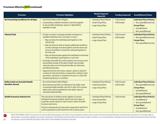<span id="page-20-0"></span>

| <b>Provision</b>                                                    | <b>Provision Highlights</b>                                                                                                                                                                                                                                                                                                                                                                                                                                                                                                                                                                                                                                                                                                                                                                                                                                                                                                                             | <b>Market/Segment</b><br>Impacted                                         | <b>Funding Impacted</b>               | <b>Grandfathered Status</b>                                                                                                                  |
|---------------------------------------------------------------------|---------------------------------------------------------------------------------------------------------------------------------------------------------------------------------------------------------------------------------------------------------------------------------------------------------------------------------------------------------------------------------------------------------------------------------------------------------------------------------------------------------------------------------------------------------------------------------------------------------------------------------------------------------------------------------------------------------------------------------------------------------------------------------------------------------------------------------------------------------------------------------------------------------------------------------------------------------|---------------------------------------------------------------------------|---------------------------------------|----------------------------------------------------------------------------------------------------------------------------------------------|
| <b>No Preexisting Conditions for all Ages</b>                       | • Part of the Patient's Bill of Rights.<br>• A preexisting condition limitation cannot be applied<br>to any enrollee (employee, spouse or dependent),<br>regardless of age.                                                                                                                                                                                                                                                                                                                                                                                                                                                                                                                                                                                                                                                                                                                                                                             | • Individual Plans/Policies<br>• Small Group Plans<br>• Large Group Plans | <b>Fully Insured</b><br>• Self-funded | <b>Individual Plans/Policies:</b><br>• Non-grandfathered only<br><b>Group Plans:</b><br>• Grandfathered<br>• Non-grandfathered               |
| <b>Clinical Trials</b>                                              | If a plan or issuer's coverage provides coverage to a<br>qualified individual, then such plan or issuer:<br>- May not deny the individual participation in the<br>clinical trial;<br>- May not deny (or limit or impose additional conditions<br>on) the coverage of routine patient costs for items and<br>services furnished in connection with participation in<br>the trial; and<br>- May not discriminate against the individual on the basis<br>of the individual's participation in such trial.<br>Coverage of benefits for routine patient care services must<br>be provided outside of the plan's health care provider<br>network unless out-of-network benefits are otherwise<br>provided by the plan.<br>Approved clinical trial means a phase I, phase II, phase III<br>or phase IV clinical trial that is conducted in relation to the<br>prevention, detection or treatment of cancer or other life-<br>threatening disease or condition. | • Individual Plans/Policies<br>• Small Group Plans<br>• Large Group Plans | • Fully Insured<br>• Self-funded      | <b>Individual Plans/Policies:</b><br>• Non-grandfathered only<br><b>Group Plans:</b><br>• Non-grandfathered only                             |
| <b>Dollar Limits on Essential Health</b><br><b>Benefits: Annual</b> | Part of the Patient's Bill of Rights.<br>Restricted annual limits are allowed on the dollar value<br>of essential health benefits until 2014. After 2014, annual<br>dollar limits will be prohibited on the dollar value of<br>essential health benefits.                                                                                                                                                                                                                                                                                                                                                                                                                                                                                                                                                                                                                                                                                               | • Individual Plans/Policies<br>• Small Group Plans<br>• Large Group Plans | • Fully Insured<br>• Self-funded      | <b>Individual Plans/Policies:</b><br>• Non-grandfathered only<br><b>Group Plans:</b><br>• Grandfathered<br>• Non-grandfathered               |
| <b>Health Insurance Industry Fee</b>                                | This annual fee on health insurers applies to insured<br>individual and group medical, dental and vision plans. It<br>is paid by insurers based on each insurer's share of health<br>insurance premiums.<br>The fee is being built into rates and is expected to add 2% to<br>2.5% to premiums in 2014 and 3% to 4% in future years.                                                                                                                                                                                                                                                                                                                                                                                                                                                                                                                                                                                                                    | • Individual Plans/Policies<br>• Small Group Plans<br>• Large Group Plans | • Fully Insured                       | <b>Individual Plans/Policies:</b><br>• Grandfathered<br>• Non-grandfathered<br><b>Group Plans:</b><br>• Grandfathered<br>• Non-grandfathered |

NOTICE FOR EXTERNAL USERS: This document is for general informational purposes only. While we have attempted to provide current, accurate and clearly expressed information, this information is provided "as is" and Cigna ma representations or warranties regarding its accuracy or completeness. The information provided should not be construed as legal or tax advice, or as a recommendation of any kind. External users should seek professional adv own attorneys, and tax and benefit plan advisers with respect to their individual circumstances and needs.

 $\bullet$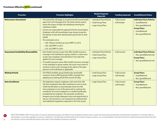<span id="page-21-0"></span>

| <b>Provision</b>                            | <b>Provision Highlights</b>                                                                                                                                                                                                                                                                                                                                                                                                                                                                                                                                    | <b>Market/Segment</b><br><b>Impacted</b>                                  | <b>Funding Impacted</b>          | <b>Grandfathered Status</b>                                                                                                                  |
|---------------------------------------------|----------------------------------------------------------------------------------------------------------------------------------------------------------------------------------------------------------------------------------------------------------------------------------------------------------------------------------------------------------------------------------------------------------------------------------------------------------------------------------------------------------------------------------------------------------------|---------------------------------------------------------------------------|----------------------------------|----------------------------------------------------------------------------------------------------------------------------------------------|
| <b>Reinsurance Assessment</b>               | • This annual fee will apply to insured and self-insured health<br>plans from 2014 through 2016. The funds will be used to<br>lessen the impact of high-risk individuals entering the<br>individual market.<br>Insurers are responsible for paying the fee for insured plans.<br>Employers with self-insured plans may choose to pay the<br>fee directly or have their administrator pay the fee on their<br>behalf.<br>• The estimated cost is:<br>- \$60-\$90 per member per year (PMPY) in 2014<br>$-$ \$40-\$60 PMPY in 2015<br>$-$ \$25-\$35 PMPY in 2016 | • Individual Plans/Policies<br>• Small Group Plans<br>• Large Group Plans | • Fully Insured<br>• Self-funded | <b>Individual Plans/Policies:</b><br>• Grandfathered<br>• Non-grandfathered<br><b>Group Plans:</b><br>• Grandfathered<br>• Non-grandfathered |
| <b>Guaranteed Availability/Renewability</b> | Each health insurance issuer that offers health insurance<br>coverage in the individual or group market in a state must<br>accept every employer and individual in the state that<br>applies for such coverage.<br>If a health insurance issuer offers health insurance coverage<br>in the individual or group market, the issuer must renew or<br>continue in force such coverage at the option of the plan<br>sponsor or the individual, as applicable.                                                                                                      | • Individual Plans/Policies<br>• Small Group Plans<br>• Large Group Plans | • Fully Insured                  | <b>Individual Plans/Policies:</b><br>• Non-grandfathered only<br><b>Group Plans:</b><br>• Non-grandfathered only                             |
| <b>Waiting Periods</b>                      | • The PPACA prohibits group health plans and health<br>insurance issuers offering group health coverage from<br>applying any waiting period that exceeds 90 days.                                                                                                                                                                                                                                                                                                                                                                                              | • Small Group Plans<br>• Large Group Plans                                | • Fully Insured<br>• Self-funded | <b>Group Plans:</b><br>• Grandfathered<br>• Non-grandfathered                                                                                |
| <b>Auto-Enrollment</b>                      | The legislation requires employers with more than 200<br>full-time employees that offer enrollment in one or more<br>health benefit plans to automatically enroll new full-<br>time employees in one of the plans and to continue the<br>enrollment of current employees in a health benefit plan<br>provided by the employer. The automatic enrollment<br>program must include adequate notice and opportunity to<br>opt out. This provision is not required to be implemented<br>until additional regulations expected in 2014 are issued.                   | • Large Group Plans                                                       | • Fully Insured<br>· Self-funded | <b>Group Plans:</b><br>• Grandfathered<br>• Non-grandfathered                                                                                |